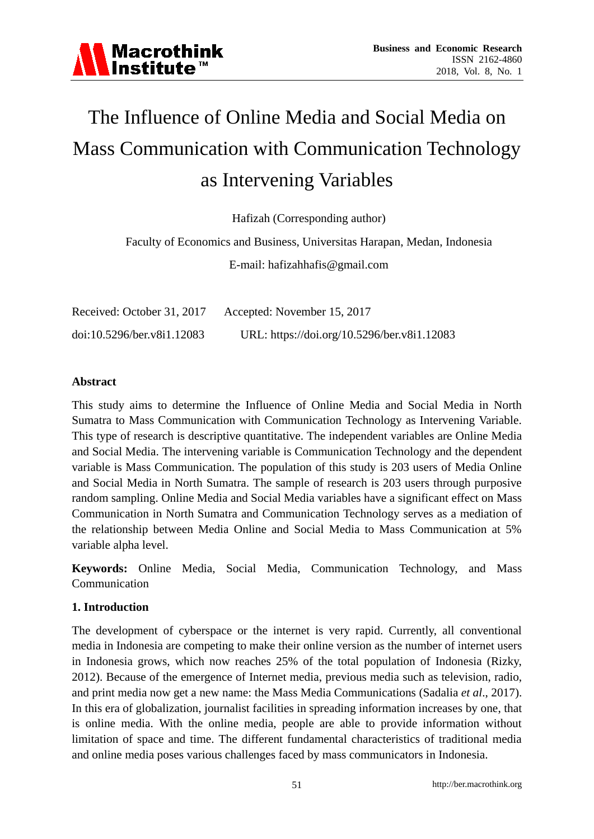# The Influence of Online Media and Social Media on Mass Communication with Communication Technology as Intervening Variables

Hafizah (Corresponding author)

Faculty of Economics and Business, Universitas Harapan, Medan, Indonesia

E-mail: hafizahhafis@gmail.com

| Received: October 31, 2017 | Accepted: November 15, 2017                 |
|----------------------------|---------------------------------------------|
| doi:10.5296/ber.v8i1.12083 | URL: https://doi.org/10.5296/ber.v8i1.12083 |

#### **Abstract**

This study aims to determine the Influence of Online Media and Social Media in North Sumatra to Mass Communication with Communication Technology as Intervening Variable. This type of research is descriptive quantitative. The independent variables are Online Media and Social Media. The intervening variable is Communication Technology and the dependent variable is Mass Communication. The population of this study is 203 users of Media Online and Social Media in North Sumatra. The sample of research is 203 users through purposive random sampling. Online Media and Social Media variables have a significant effect on Mass Communication in North Sumatra and Communication Technology serves as a mediation of the relationship between Media Online and Social Media to Mass Communication at 5% variable alpha level.

**Keywords:** Online Media, Social Media, Communication Technology, and Mass Communication

# **1. Introduction**

The development of cyberspace or the internet is very rapid. Currently, all conventional media in Indonesia are competing to make their online version as the number of internet users in Indonesia grows, which now reaches 25% of the total population of Indonesia (Rizky, 2012). Because of the emergence of Internet media, previous media such as television, radio, and print media now get a new name: the Mass Media Communications (Sadalia *et al*., 2017). In this era of globalization, journalist facilities in spreading information increases by one, that is online media. With the online media, people are able to provide information without limitation of space and time. The different fundamental characteristics of traditional media and online media poses various challenges faced by mass communicators in Indonesia.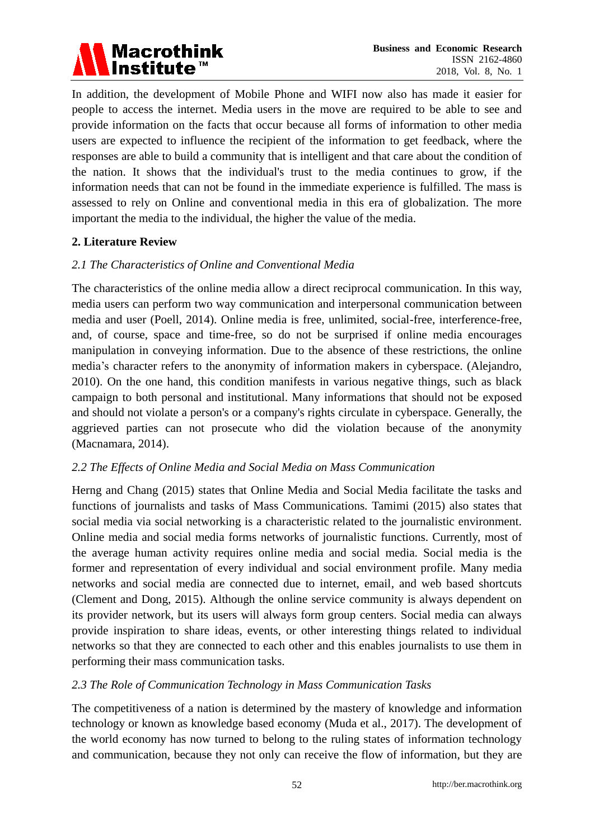

In addition, the development of Mobile Phone and WIFI now also has made it easier for people to access the internet. Media users in the move are required to be able to see and provide information on the facts that occur because all forms of information to other media users are expected to influence the recipient of the information to get feedback, where the responses are able to build a community that is intelligent and that care about the condition of the nation. It shows that the individual's trust to the media continues to grow, if the information needs that can not be found in the immediate experience is fulfilled. The mass is assessed to rely on Online and conventional media in this era of globalization. The more important the media to the individual, the higher the value of the media.

# **2. Literature Review**

# *2.1 The Characteristics of Online and Conventional Media*

The characteristics of the online media allow a direct reciprocal communication. In this way, media users can perform two way communication and interpersonal communication between media and user (Poell, 2014). Online media is free, unlimited, social-free, interference-free, and, of course, space and time-free, so do not be surprised if online media encourages manipulation in conveying information. Due to the absence of these restrictions, the online media's character refers to the anonymity of information makers in cyberspace. (Alejandro, 2010). On the one hand, this condition manifests in various negative things, such as black campaign to both personal and institutional. Many informations that should not be exposed and should not violate a person's or a company's rights circulate in cyberspace. Generally, the aggrieved parties can not prosecute who did the violation because of the anonymity (Macnamara, 2014).

# *2.2 The Effects of Online Media and Social Media on Mass Communication*

Herng and Chang (2015) states that Online Media and Social Media facilitate the tasks and functions of journalists and tasks of Mass Communications. Tamimi (2015) also states that social media via social networking is a characteristic related to the journalistic environment. Online media and social media forms networks of journalistic functions. Currently, most of the average human activity requires online media and social media. Social media is the former and representation of every individual and social environment profile. Many media networks and social media are connected due to internet, email, and web based shortcuts (Clement and Dong, 2015). Although the online service community is always dependent on its provider network, but its users will always form group centers. Social media can always provide inspiration to share ideas, events, or other interesting things related to individual networks so that they are connected to each other and this enables journalists to use them in performing their mass communication tasks.

# *2.3 The Role of Communication Technology in Mass Communication Tasks*

The competitiveness of a nation is determined by the mastery of knowledge and information technology or known as knowledge based economy (Muda et al., 2017). The development of the world economy has now turned to belong to the ruling states of information technology and communication, because they not only can receive the flow of information, but they are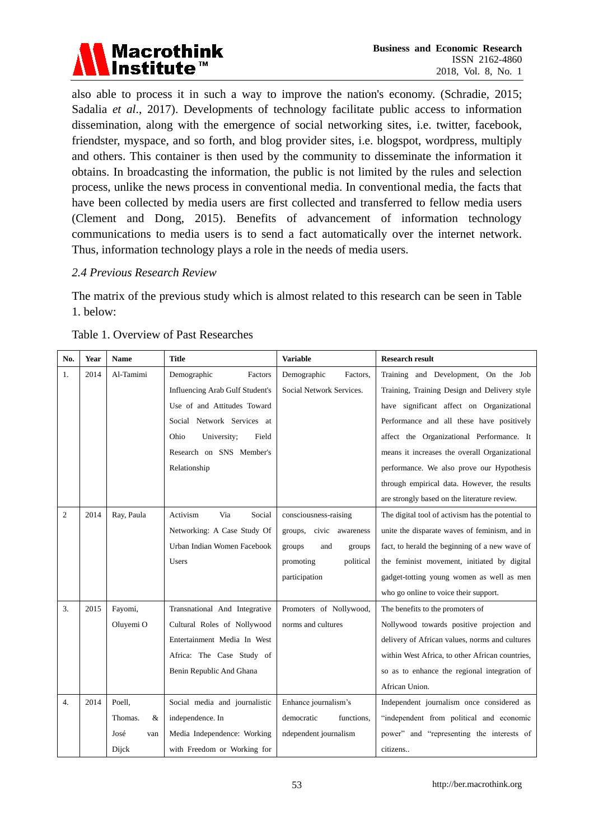

also able to process it in such a way to improve the nation's economy. (Schradie, 2015; Sadalia *et al*., 2017). Developments of technology facilitate public access to information dissemination, along with the emergence of social networking sites, i.e. twitter, facebook, friendster, myspace, and so forth, and blog provider sites, i.e. blogspot, wordpress, multiply and others. This container is then used by the community to disseminate the information it obtains. In broadcasting the information, the public is not limited by the rules and selection process, unlike the news process in conventional media. In conventional media, the facts that have been collected by media users are first collected and transferred to fellow media users (Clement and Dong, 2015). Benefits of advancement of information technology communications to media users is to send a fact automatically over the internet network. Thus, information technology plays a role in the needs of media users.

#### *2.4 Previous Research Review*

The matrix of the previous study which is almost related to this research can be seen in Table 1. below:

| No.            | Year | Name         | Title                                  | <b>Variable</b>            | <b>Research result</b>                            |
|----------------|------|--------------|----------------------------------------|----------------------------|---------------------------------------------------|
| 1.             | 2014 | Al-Tamimi    | Demographic<br>Factors                 | Demographic<br>Factors.    | Training and Development, On the Job              |
|                |      |              | <b>Influencing Arab Gulf Student's</b> | Social Network Services.   | Training, Training Design and Delivery style      |
|                |      |              | Use of and Attitudes Toward            |                            | have significant affect on Organizational         |
|                |      |              | Social Network Services at             |                            | Performance and all these have positively         |
|                |      |              | Ohio<br>University;<br>Field           |                            | affect the Organizational Performance. It         |
|                |      |              | Research on SNS Member's               |                            | means it increases the overall Organizational     |
|                |      |              | Relationship                           |                            | performance. We also prove our Hypothesis         |
|                |      |              |                                        |                            | through empirical data. However, the results      |
|                |      |              |                                        |                            | are strongly based on the literature review.      |
| $\overline{c}$ | 2014 | Ray, Paula   | Activism<br>Via<br>Social              | consciousness-raising      | The digital tool of activism has the potential to |
|                |      |              | Networking: A Case Study Of            | groups,<br>civic awareness | unite the disparate waves of feminism, and in     |
|                |      |              | Urban Indian Women Facebook            | groups<br>and<br>groups    | fact, to herald the beginning of a new wave of    |
|                |      |              | <b>Users</b>                           | political<br>promoting     | the feminist movement, initiated by digital       |
|                |      |              |                                        | participation              | gadget-totting young women as well as men         |
|                |      |              |                                        |                            | who go online to voice their support.             |
| 3.             | 2015 | Fayomi,      | Transnational And Integrative          | Promoters of Nollywood,    | The benefits to the promoters of                  |
|                |      | Oluyemi O    | Cultural Roles of Nollywood            | norms and cultures         | Nollywood towards positive projection and         |
|                |      |              | Entertainment Media In West            |                            | delivery of African values, norms and cultures    |
|                |      |              | Africa: The Case Study of              |                            | within West Africa, to other African countries,   |
|                |      |              | Benin Republic And Ghana               |                            | so as to enhance the regional integration of      |
|                |      |              |                                        |                            | African Union.                                    |
| 4.             | 2014 | Poell.       | Social media and journalistic          | Enhance journalism's       | Independent journalism once considered as         |
|                |      | Thomas.<br>& | independence. In                       | functions.<br>democratic   | "independent from political and economic          |
|                |      | Jos é<br>van | Media Independence: Working            | ndependent journalism      | power" and "representing the interests of         |
|                |      | Dijck        | with Freedom or Working for            |                            | citizens                                          |

#### Table 1. Overview of Past Researches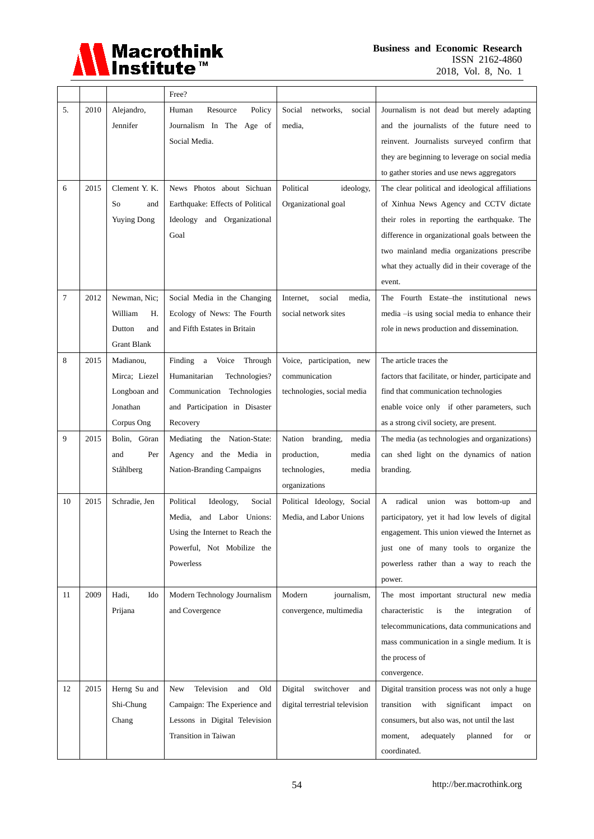

|    |      |                                                                      | Free?                                                                                                                                         |                                                                                              |                                                                                                                                                                                                                                                                                                         |
|----|------|----------------------------------------------------------------------|-----------------------------------------------------------------------------------------------------------------------------------------------|----------------------------------------------------------------------------------------------|---------------------------------------------------------------------------------------------------------------------------------------------------------------------------------------------------------------------------------------------------------------------------------------------------------|
| 5. | 2010 | Alejandro,<br>Jennifer                                               | Human<br>Resource<br>Policy<br>Journalism In The Age of<br>Social Media.                                                                      | Social<br>networks,<br>social<br>media,                                                      | Journalism is not dead but merely adapting<br>and the journalists of the future need to<br>reinvent. Journalists surveyed confirm that<br>they are beginning to leverage on social media<br>to gather stories and use news aggregators                                                                  |
| 6  | 2015 | Clement Y. K.<br>So<br>and<br><b>Yuying Dong</b>                     | News Photos about Sichuan<br>Earthquake: Effects of Political<br>Ideology and Organizational<br>Goal                                          | Political<br>ideology,<br>Organizational goal                                                | The clear political and ideological affiliations<br>of Xinhua News Agency and CCTV dictate<br>their roles in reporting the earthquake. The<br>difference in organizational goals between the<br>two mainland media organizations prescribe<br>what they actually did in their coverage of the<br>event. |
| 7  | 2012 | Newman, Nic;<br>William<br>Н.<br>Dutton<br>and<br><b>Grant Blank</b> | Social Media in the Changing<br>Ecology of News: The Fourth<br>and Fifth Estates in Britain                                                   | Internet,<br>social<br>media,<br>social network sites                                        | The Fourth Estate–the institutional news<br>media -is using social media to enhance their<br>role in news production and dissemination.                                                                                                                                                                 |
| 8  | 2015 | Madianou,<br>Mirca; Liezel<br>Longboan and<br>Jonathan<br>Corpus Ong | Finding a<br>Voice<br>Through<br>Humanitarian<br>Technologies?<br>Communication Technologies<br>and Participation in Disaster<br>Recovery     | Voice, participation, new<br>communication<br>technologies, social media                     | The article traces the<br>factors that facilitate, or hinder, participate and<br>find that communication technologies<br>enable voice only if other parameters, such<br>as a strong civil society, are present.                                                                                         |
| 9  | 2015 | Bolin, Göran<br>Per<br>and<br>St åhlberg                             | Mediating the Nation-State:<br>Agency and the Media in<br>Nation-Branding Campaigns                                                           | Nation branding,<br>media<br>production,<br>media<br>technologies,<br>media<br>organizations | The media (as technologies and organizations)<br>can shed light on the dynamics of nation<br>branding.                                                                                                                                                                                                  |
| 10 | 2015 | Schradie, Jen                                                        | Social<br>Political<br>Ideology,<br>and Labor Unions:<br>Media,<br>Using the Internet to Reach the<br>Powerful, Not Mobilize the<br>Powerless | Political Ideology, Social<br>Media, and Labor Unions                                        | A radical<br>union was<br>bottom-up<br>and<br>participatory, yet it had low levels of digital<br>engagement. This union viewed the Internet as<br>just one of many tools to organize the<br>powerless rather than a way to reach the<br>power.                                                          |
| 11 | 2009 | Hadi,<br>Ido<br>Prijana                                              | Modern Technology Journalism<br>and Covergence                                                                                                | Modern<br>journalism,<br>convergence, multimedia                                             | The most important structural new media<br>characteristic<br>the<br>is<br>integration<br>οf<br>telecommunications, data communications and<br>mass communication in a single medium. It is<br>the process of<br>convergence.                                                                            |
| 12 | 2015 | Herng Su and<br>Shi-Chung<br>Chang                                   | Television<br>New<br>and<br>Old<br>Campaign: The Experience and<br>Lessons in Digital Television<br>Transition in Taiwan                      | Digital<br>switchover<br>and<br>digital terrestrial television                               | Digital transition process was not only a huge<br>with<br>significant<br>impact<br>transition<br>on<br>consumers, but also was, not until the last<br>moment,<br>adequately<br>planned<br>for<br>or<br>coordinated.                                                                                     |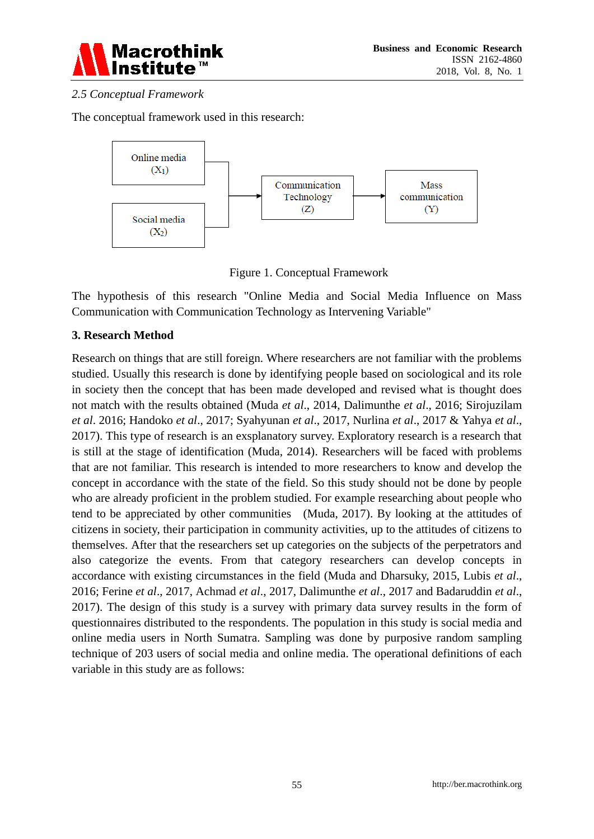

# *2.5 Conceptual Framework*

The conceptual framework used in this research:



Figure 1. Conceptual Framework

The hypothesis of this research "Online Media and Social Media Influence on Mass Communication with Communication Technology as Intervening Variable"

# **3. Research Method**

Research on things that are still foreign. Where researchers are not familiar with the problems studied. Usually this research is done by identifying people based on sociological and its role in society then the concept that has been made developed and revised what is thought does not match with the results obtained (Muda *et al*., 2014, Dalimunthe *et al*., 2016; Sirojuzilam *et al*. 2016; Handoko *et al*., 2017; Syahyunan *et al*., 2017, Nurlina *et al*., 2017 & Yahya *et al*., 2017). This type of research is an exsplanatory survey. Exploratory research is a research that is still at the stage of identification (Muda, 2014). Researchers will be faced with problems that are not familiar. This research is intended to more researchers to know and develop the concept in accordance with the state of the field. So this study should not be done by people who are already proficient in the problem studied. For example researching about people who tend to be appreciated by other communities (Muda, 2017). By looking at the attitudes of citizens in society, their participation in community activities, up to the attitudes of citizens to themselves. After that the researchers set up categories on the subjects of the perpetrators and also categorize the events. From that category researchers can develop concepts in accordance with existing circumstances in the field (Muda and Dharsuky, 2015, Lubis *et al*., 2016; Ferine *et al*., 2017, Achmad *et al*., 2017, Dalimunthe *et al*., 2017 and Badaruddin *et al*., 2017). The design of this study is a survey with primary data survey results in the form of questionnaires distributed to the respondents. The population in this study is social media and online media users in North Sumatra. Sampling was done by purposive random sampling technique of 203 users of social media and online media. The operational definitions of each variable in this study are as follows: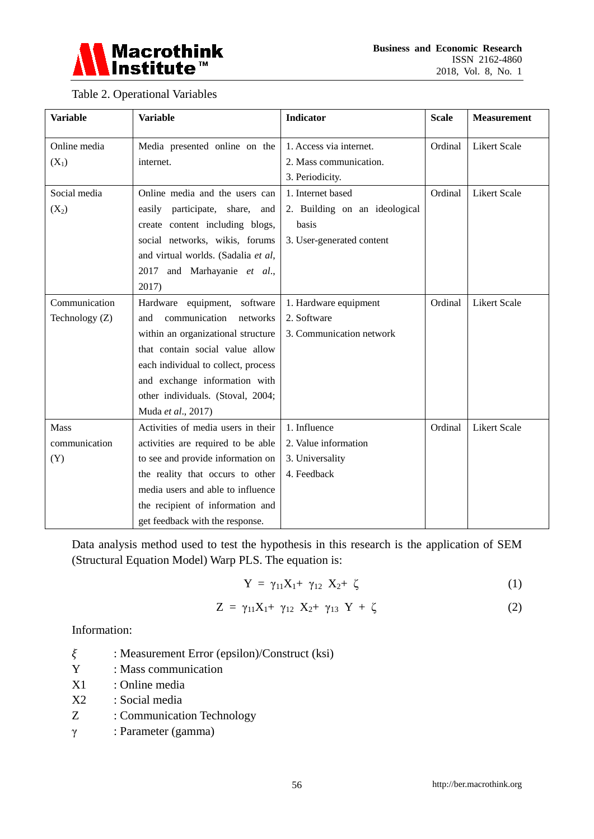

# Table 2. Operational Variables

| <b>Variable</b> | <b>Variable</b>                     | <b>Indicator</b>              | <b>Scale</b> | <b>Measurement</b>  |
|-----------------|-------------------------------------|-------------------------------|--------------|---------------------|
| Online media    | Media presented online on the       | 1. Access via internet.       | Ordinal      | <b>Likert Scale</b> |
| $(X_1)$         | internet.                           | 2. Mass communication.        |              |                     |
|                 |                                     | 3. Periodicity.               |              |                     |
| Social media    | Online media and the users can      | 1. Internet based             | Ordinal      | <b>Likert Scale</b> |
| $(X_2)$         | easily participate, share, and      | 2. Building on an ideological |              |                     |
|                 | create content including blogs,     | basis                         |              |                     |
|                 | social networks, wikis, forums      | 3. User-generated content     |              |                     |
|                 | and virtual worlds. (Sadalia et al, |                               |              |                     |
|                 | 2017 and Marhayanie et al.,         |                               |              |                     |
|                 | 2017)                               |                               |              |                     |
| Communication   | Hardware equipment, software        | 1. Hardware equipment         | Ordinal      | <b>Likert Scale</b> |
| Technology (Z)  | communication<br>networks<br>and    | 2. Software                   |              |                     |
|                 | within an organizational structure  | 3. Communication network      |              |                     |
|                 | that contain social value allow     |                               |              |                     |
|                 | each individual to collect, process |                               |              |                     |
|                 | and exchange information with       |                               |              |                     |
|                 | other individuals. (Stoval, 2004;   |                               |              |                     |
|                 | Muda et al., 2017)                  |                               |              |                     |
| <b>Mass</b>     | Activities of media users in their  | 1. Influence                  | Ordinal      | <b>Likert Scale</b> |
| communication   | activities are required to be able  | 2. Value information          |              |                     |
| (Y)             | to see and provide information on   | 3. Universality               |              |                     |
|                 | the reality that occurs to other    | 4. Feedback                   |              |                     |
|                 | media users and able to influence   |                               |              |                     |
|                 | the recipient of information and    |                               |              |                     |
|                 | get feedback with the response.     |                               |              |                     |

Data analysis method used to test the hypothesis in this research is the application of SEM (Structural Equation Model) Warp PLS. The equation is:

$$
Y = \gamma_{11} X_1 + \gamma_{12} X_2 + \zeta \tag{1}
$$

$$
Z = \gamma_{11} X_1 + \gamma_{12} X_2 + \gamma_{13} Y + \zeta \tag{2}
$$

Information:

 $\xi$  : Measurement Error (epsilon)/Construct (ksi)

Y : Mass communication

X1 : Online media

X2 : Social media

- Z : Communication Technology
- γ : Parameter (gamma)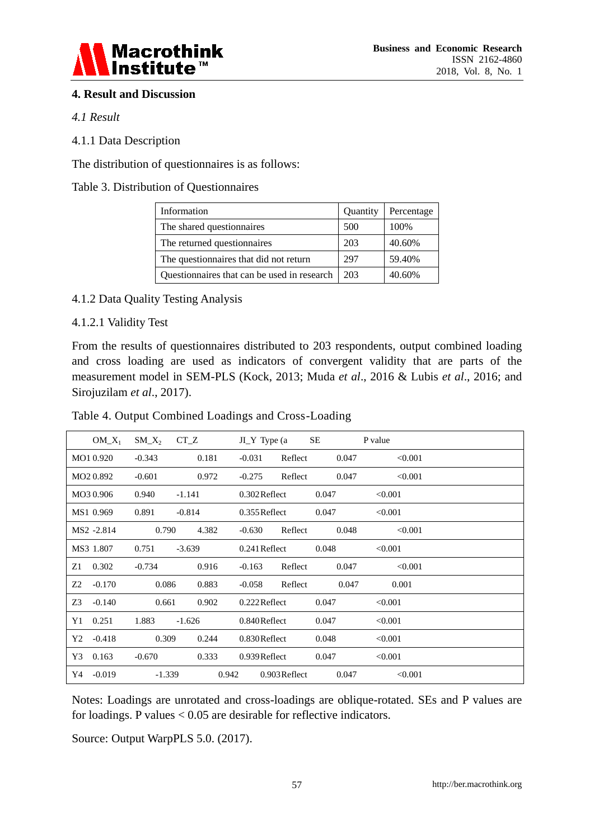

# **4. Result and Discussion**

#### *4.1 Result*

#### 4.1.1 Data Description

The distribution of questionnaires is as follows:

#### Table 3. Distribution of Questionnaires

| Information                                 | Quantity | Percentage |
|---------------------------------------------|----------|------------|
| The shared questionnaires                   | 500      | 100\%      |
| The returned questionnaires                 | 203      | 40.60%     |
| The questionnaires that did not return      | 297      | 59.40%     |
| Questionnaires that can be used in research | 203      | 40.60%     |

# 4.1.2 Data Quality Testing Analysis

#### 4.1.2.1 Validity Test

From the results of questionnaires distributed to 203 respondents, output combined loading and cross loading are used as indicators of convergent validity that are parts of the measurement model in SEM-PLS (Kock, 2013; Muda *et al*., 2016 & Lubis *et al*., 2016; and Sirojuzilam *et al*., 2017).

| Table 4. Output Combined Loadings and Cross-Loading |  |
|-----------------------------------------------------|--|
|-----------------------------------------------------|--|

| $OM_X_1$               | $SM_X_2$          | $CT_ Z$  | $JI_Y$ Type (a  |                 | SЕ    | P value |  |
|------------------------|-------------------|----------|-----------------|-----------------|-------|---------|--|
| MO1 0.920              | $-0.343$          | 0.181    | $-0.031$        | Reflect         | 0.047 | < 0.001 |  |
| MO <sub>2</sub> 0.892  | $-0.601$          | 0.972    | $-0.275$        | Reflect         | 0.047 | < 0.001 |  |
| MO3 0.906              | 0.940             | $-1.141$ | $0.302$ Reflect |                 | 0.047 | < 0.001 |  |
| MS1 0.969              | 0.891             | $-0.814$ | $0.355$ Reflect |                 | 0.047 | < 0.001 |  |
| MS <sub>2</sub> -2.814 | 0.790             | 4.382    | $-0.630$        | Reflect         | 0.048 | < 0.001 |  |
| MS3 1.807              | 0.751<br>$-3.639$ |          | $0.241$ Reflect |                 | 0.048 | < 0.001 |  |
| 0.302<br>Z1            | $-0.734$          | 0.916    | $-0.163$        | Reflect         | 0.047 | < 0.001 |  |
| Z2<br>$-0.170$         | 0.086             | 0.883    | $-0.058$        | Reflect         | 0.047 | 0.001   |  |
| Z3<br>$-0.140$         | 0.661             | 0.902    | $0.222$ Reflect |                 | 0.047 | < 0.001 |  |
| 0.251<br>Y1            | 1.883             | $-1.626$ | 0.840Reflect    |                 | 0.047 | < 0.001 |  |
| Y2<br>$-0.418$         | 0.309             | 0.244    | 0.830Reflect    |                 | 0.048 | < 0.001 |  |
| 0.163<br>Y3            | $-0.670$          | 0.333    | $0.939$ Reflect |                 | 0.047 | < 0.001 |  |
| $-0.019$<br>Y4         | $-1.339$          | 0.942    |                 | $0.903$ Reflect | 0.047 | < 0.001 |  |

Notes: Loadings are unrotated and cross-loadings are oblique-rotated. SEs and P values are for loadings. P values < 0.05 are desirable for reflective indicators.

Source: Output WarpPLS 5.0. (2017).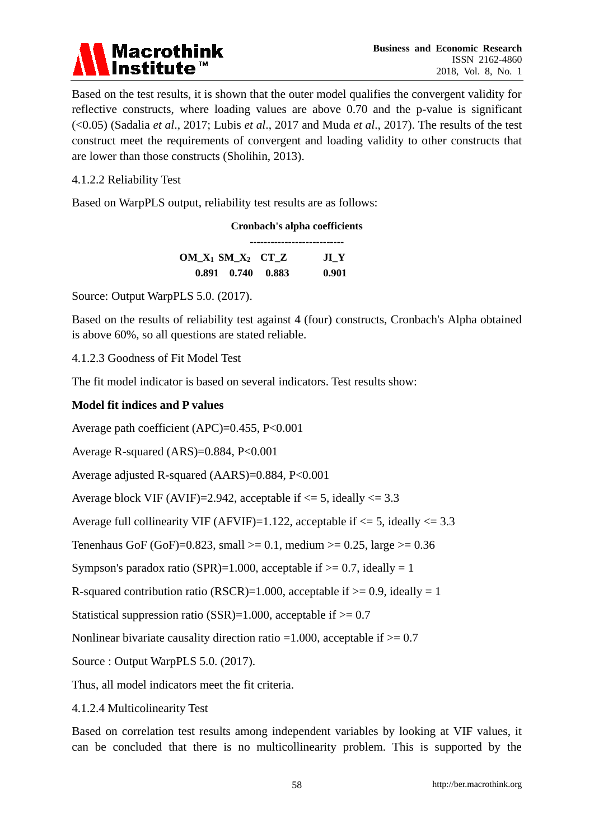

Based on the test results, it is shown that the outer model qualifies the convergent validity for reflective constructs, where loading values are above 0.70 and the p-value is significant (<0.05) (Sadalia *et al*., 2017; Lubis *et al*., 2017 and Muda *et al*., 2017). The results of the test construct meet the requirements of convergent and loading validity to other constructs that are lower than those constructs (Sholihin, 2013).

#### 4.1.2.2 Reliability Test

Based on WarpPLS output, reliability test results are as follows:

|                                                |                         | <b>Cronbach's alpha coefficients</b> |
|------------------------------------------------|-------------------------|--------------------------------------|
| $OM_X$ <sub>1</sub> $SM_X$ <sub>2</sub> $CT_Z$ |                         | JI Y                                 |
|                                                | $0.891$ $0.740$ $0.883$ | 0.901                                |

Source: Output WarpPLS 5.0. (2017).

Based on the results of reliability test against 4 (four) constructs, Cronbach's Alpha obtained is above 60%, so all questions are stated reliable.

4.1.2.3 Goodness of Fit Model Test

The fit model indicator is based on several indicators. Test results show:

#### **Model fit indices and P values**

Average path coefficient (APC)=0.455, P<0.001

Average R-squared (ARS)=0.884, P<0.001

Average adjusted R-squared (AARS)=0.884, P<0.001

Average block VIF (AVIF)=2.942, acceptable if  $\leq$  5, ideally  $\leq$  3.3

Average full collinearity VIF (AFVIF)=1.122, acceptable if  $\leq$  5, ideally  $\leq$  3.3

Tenenhaus GoF (GoF)=0.823, small >= 0.1, medium >= 0.25, large >= 0.36

Sympson's paradox ratio (SPR)=1.000, acceptable if  $>= 0.7$ , ideally = 1

R-squared contribution ratio (RSCR)=1.000, acceptable if  $> = 0.9$ , ideally = 1

Statistical suppression ratio (SSR)=1.000, acceptable if  $> = 0.7$ 

Nonlinear bivariate causality direction ratio =1.000, acceptable if  $> = 0.7$ 

Source : Output WarpPLS 5.0. (2017).

Thus, all model indicators meet the fit criteria.

4.1.2.4 Multicolinearity Test

Based on correlation test results among independent variables by looking at VIF values, it can be concluded that there is no multicollinearity problem. This is supported by the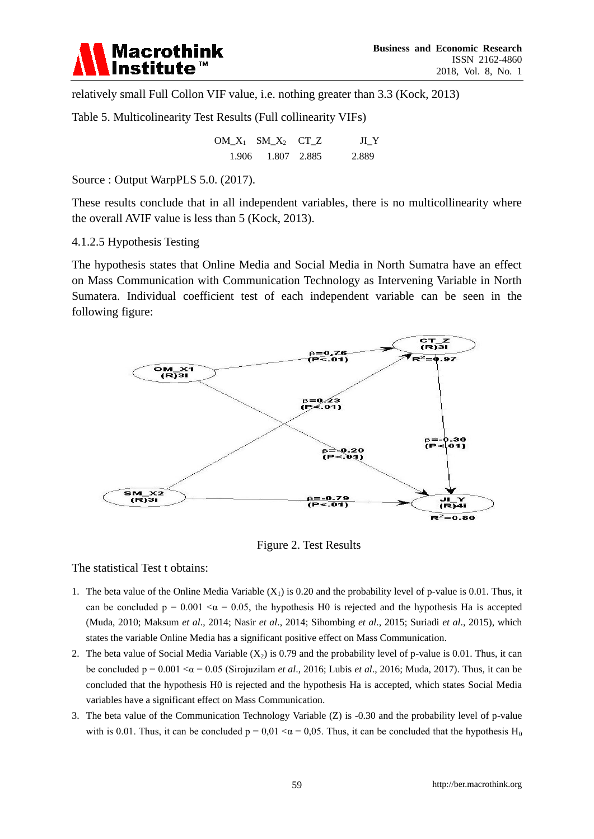

relatively small Full Collon VIF value, i.e. nothing greater than 3.3 (Kock, 2013)

Table 5. Multicolinearity Test Results (Full collinearity VIFs)

```
OM\_X_1 SM\_X_2 CT\_Z JI\_Y 1.906 1.807 2.885 2.889
```
Source : Output WarpPLS 5.0. (2017).

These results conclude that in all independent variables, there is no multicollinearity where the overall AVIF value is less than 5 (Kock, 2013).

4.1.2.5 Hypothesis Testing

The hypothesis states that Online Media and Social Media in North Sumatra have an effect on Mass Communication with Communication Technology as Intervening Variable in North Sumatera. Individual coefficient test of each independent variable can be seen in the following figure:



Figure 2. Test Results

The statistical Test t obtains:

- 1. The beta value of the Online Media Variable  $(X_1)$  is 0.20 and the probability level of p-value is 0.01. Thus, it can be concluded  $p = 0.001 < \alpha = 0.05$ , the hypothesis H0 is rejected and the hypothesis Ha is accepted (Muda, 2010; Maksum *et al*., 2014; Nasir *et al*., 2014; Sihombing *et al*., 2015; Suriadi *et al*., 2015), which states the variable Online Media has a significant positive effect on Mass Communication.
- 2. The beta value of Social Media Variable  $(X<sub>2</sub>)$  is 0.79 and the probability level of p-value is 0.01. Thus, it can be concluded  $p = 0.001 < \alpha = 0.05$  (Sirojuzilam *et al.*, 2016; Lubis *et al.*, 2016; Muda, 2017). Thus, it can be concluded that the hypothesis H0 is rejected and the hypothesis Ha is accepted, which states Social Media variables have a significant effect on Mass Communication.
- 3. The beta value of the Communication Technology Variable (Z) is -0.30 and the probability level of p-value with is 0.01. Thus, it can be concluded  $p = 0.01 < \alpha = 0.05$ . Thus, it can be concluded that the hypothesis H<sub>0</sub>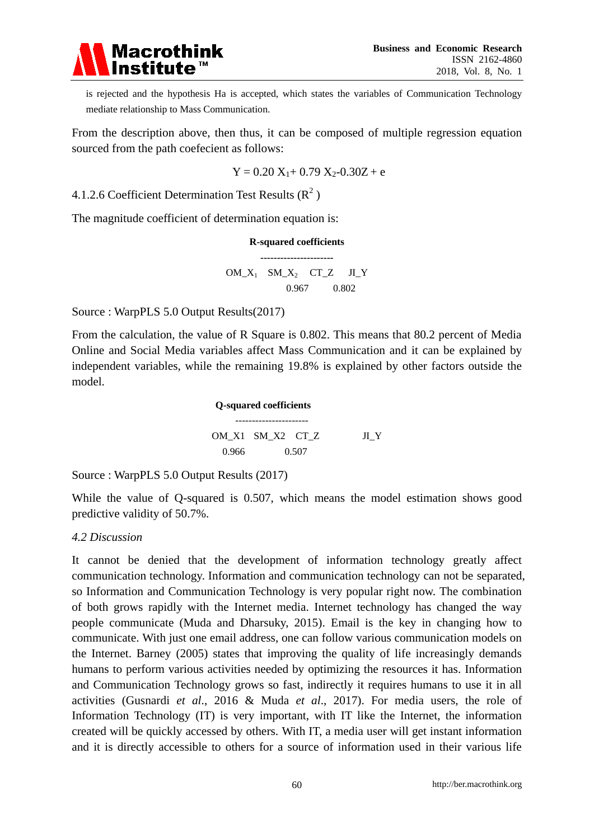

is rejected and the hypothesis Ha is accepted, which states the variables of Communication Technology mediate relationship to Mass Communication.

From the description above, then thus, it can be composed of multiple regression equation sourced from the path coefecient as follows:

$$
Y=0.20\;X_1+0.79\;X_2\text{-}0.30Z+e
$$

4.1.2.6 Coefficient Determination Test Results  $(R^2)$ 

The magnitude coefficient of determination equation is:

**R-squared coefficients ----------------------**  $OM_X$ <sub>1</sub>  $SM_X$ <sub>2</sub>  $CT_Z$  JI\_Y 0.967 0.802

Source : WarpPLS 5.0 Output Results(2017)

From the calculation, the value of R Square is 0.802. This means that 80.2 percent of Media Online and Social Media variables affect Mass Communication and it can be explained by independent variables, while the remaining 19.8% is explained by other factors outside the model.

> **Q-squared coefficients** ---------------------- OM X1 SM X2 CT Z JI Y 0.966 0.507

Source : WarpPLS 5.0 Output Results (2017)

While the value of Q-squared is 0.507, which means the model estimation shows good predictive validity of 50.7%.

#### *4.2 Discussion*

It cannot be denied that the development of information technology greatly affect communication technology. Information and communication technology can not be separated, so Information and Communication Technology is very popular right now. The combination of both grows rapidly with the Internet media. Internet technology has changed the way people communicate (Muda and Dharsuky, 2015). Email is the key in changing how to communicate. With just one email address, one can follow various communication models on the Internet. Barney (2005) states that improving the quality of life increasingly demands humans to perform various activities needed by optimizing the resources it has. Information and Communication Technology grows so fast, indirectly it requires humans to use it in all activities (Gusnardi *et al*., 2016 & Muda *et al*., 2017). For media users, the role of Information Technology (IT) is very important, with IT like the Internet, the information created will be quickly accessed by others. With IT, a media user will get instant information and it is directly accessible to others for a source of information used in their various life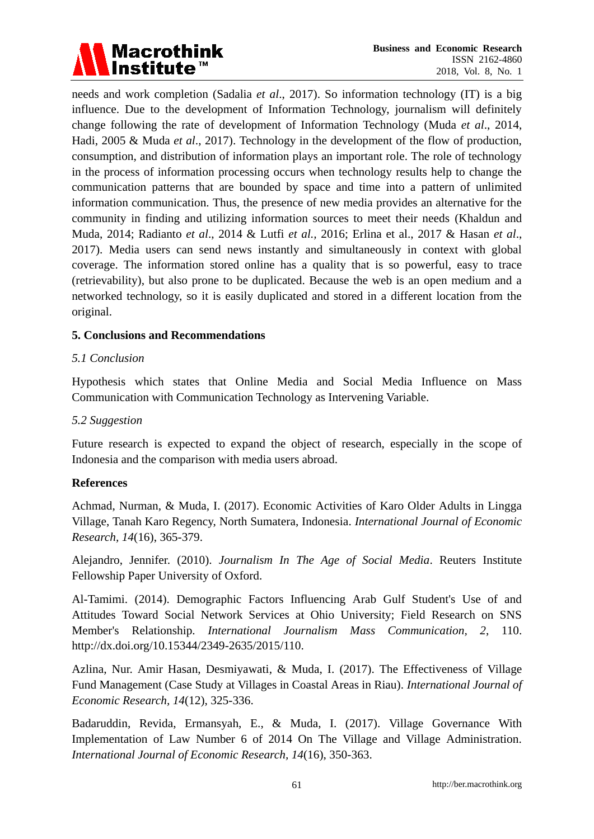

needs and work completion (Sadalia *et al*., 2017). So information technology (IT) is a big influence. Due to the development of Information Technology, journalism will definitely change following the rate of development of Information Technology (Muda *et al*., 2014, Hadi, 2005 & Muda *et al*., 2017). Technology in the development of the flow of production, consumption, and distribution of information plays an important role. The role of technology in the process of information processing occurs when technology results help to change the communication patterns that are bounded by space and time into a pattern of unlimited information communication. Thus, the presence of new media provides an alternative for the community in finding and utilizing information sources to meet their needs (Khaldun and Muda, 2014; Radianto *et al*., 2014 & Lutfi *et al.,* 2016; Erlina et al., 2017 & Hasan *et al*., 2017). Media users can send news instantly and simultaneously in context with global coverage. The information stored online has a quality that is so powerful, easy to trace (retrievability), but also prone to be duplicated. Because the web is an open medium and a networked technology, so it is easily duplicated and stored in a different location from the original.

#### **5. Conclusions and Recommendations**

#### *5.1 Conclusion*

Hypothesis which states that Online Media and Social Media Influence on Mass Communication with Communication Technology as Intervening Variable.

#### *5.2 Suggestion*

Future research is expected to expand the object of research, especially in the scope of Indonesia and the comparison with media users abroad.

#### **References**

Achmad, Nurman, & Muda, I. (2017). Economic Activities of Karo Older Adults in Lingga Village, Tanah Karo Regency, North Sumatera, Indonesia. *International Journal of Economic Research, 14*(16), 365-379.

Alejandro, Jennifer. (2010). *Journalism In The Age of Social Media*. Reuters Institute Fellowship Paper University of Oxford.

Al-Tamimi. (2014). Demographic Factors Influencing Arab Gulf Student's Use of and Attitudes Toward Social Network Services at Ohio University; Field Research on SNS Member's Relationship. *International Journalism Mass Communication, 2*, 110. http://dx.doi.org/10.15344/2349-2635/2015/110.

Azlina, Nur. Amir Hasan, Desmiyawati, & Muda, I. (2017). The Effectiveness of Village Fund Management (Case Study at Villages in Coastal Areas in Riau). *International Journal of Economic Research, 14*(12), 325-336.

Badaruddin, Revida, Ermansyah, E., & Muda, I. (2017). Village Governance With Implementation of Law Number 6 of 2014 On The Village and Village Administration. *International Journal of Economic Research, 14*(16), 350-363.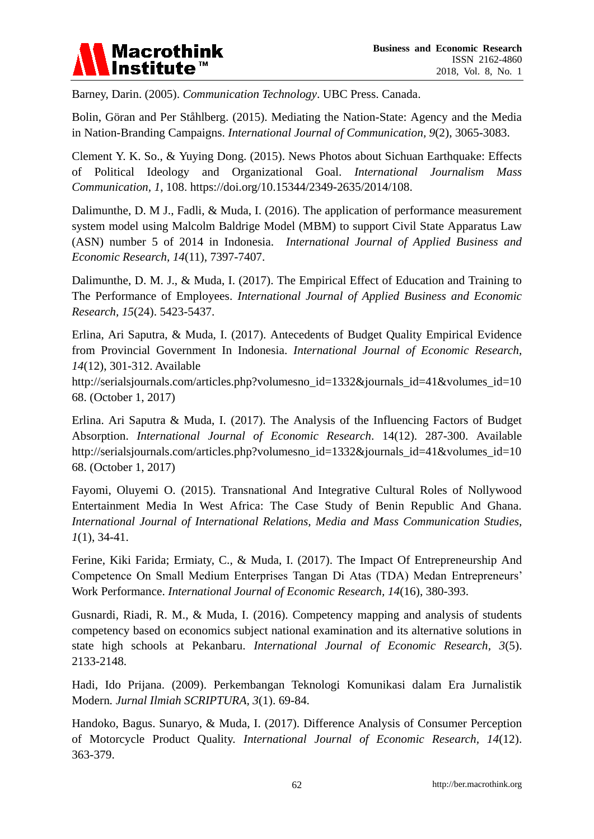

Barney, Darin. (2005). *Communication Technology*. UBC Press. Canada.

Bolin, Göran and Per Ståhlberg. (2015). Mediating the Nation-State: Agency and the Media in Nation-Branding Campaigns. *International Journal of Communication, 9*(2), 3065-3083.

Clement Y. K. So., & Yuying Dong. (2015). News Photos about Sichuan Earthquake: Effects of Political Ideology and Organizational Goal. *International Journalism Mass Communication, 1*, 108. https://doi.org/10.15344/2349-2635/2014/108.

Dalimunthe, D. M J., Fadli, & Muda, I. (2016). The application of performance measurement system model using Malcolm Baldrige Model (MBM) to support Civil State Apparatus Law (ASN) number 5 of 2014 in Indonesia. *International Journal of Applied Business and Economic Research, 14*(11), 7397-7407.

Dalimunthe, D. M. J., & Muda, I. (2017). The Empirical Effect of Education and Training to The Performance of Employees. *International Journal of Applied Business and Economic Research, 15*(24). 5423-5437.

Erlina, Ari Saputra, & Muda, I. (2017). Antecedents of Budget Quality Empirical Evidence from Provincial Government In Indonesia. *International Journal of Economic Research*, *14*(12), 301-312. Available

http://serialsjournals.com/articles.php?volumesno\_id=1332&journals\_id=41&volumes\_id=10 68. (October 1, 2017)

Erlina. Ari Saputra & Muda, I. (2017). The Analysis of the Influencing Factors of Budget Absorption. *International Journal of Economic Research*. 14(12). 287-300. Available http://serialsjournals.com/articles.php?volumesno\_id=1332&journals\_id=41&volumes\_id=10 68. (October 1, 2017)

Fayomi, Oluyemi O. (2015). Transnational And Integrative Cultural Roles of Nollywood Entertainment Media In West Africa: The Case Study of Benin Republic And Ghana. *International Journal of International Relations, Media and Mass Communication Studies, 1*(1), 34-41.

Ferine, Kiki Farida; Ermiaty, C., & Muda, I. (2017). The Impact Of Entrepreneurship And Competence On Small Medium Enterprises Tangan Di Atas (TDA) Medan Entrepreneurs' Work Performance. *International Journal of Economic Research, 14*(16), 380-393.

Gusnardi, Riadi, R. M., & Muda, I. (2016). Competency mapping and analysis of students competency based on economics subject national examination and its alternative solutions in state high schools at Pekanbaru. *International Journal of Economic Research, 3*(5). 2133-2148.

Hadi, Ido Prijana. (2009). Perkembangan Teknologi Komunikasi dalam Era Jurnalistik Modern*. Jurnal Ilmiah SCRIPTURA, 3*(1). 69-84.

Handoko, Bagus. Sunaryo, & Muda, I. (2017). Difference Analysis of Consumer Perception of Motorcycle Product Quality. *International Journal of Economic Research, 14*(12). 363-379.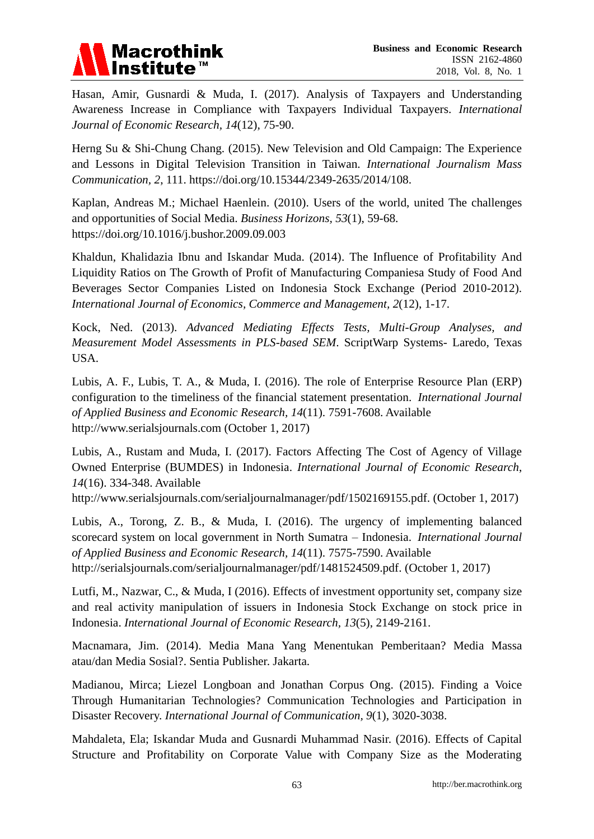

Hasan, Amir, Gusnardi & Muda, I. (2017). Analysis of Taxpayers and Understanding Awareness Increase in Compliance with Taxpayers Individual Taxpayers. *International Journal of Economic Research, 14*(12), 75-90.

Herng Su & Shi-Chung Chang. (2015). New Television and Old Campaign: The Experience and Lessons in Digital Television Transition in Taiwan. *International Journalism Mass Communication, 2*, 111. https://doi.org/10.15344/2349-2635/2014/108.

Kaplan, Andreas M.; Michael Haenlein. (2010). Users of the world, united The challenges and opportunities of Social Media. *Business Horizons, 53*(1), 59-68. https://doi.org/10.1016/j.bushor.2009.09.003

Khaldun, Khalidazia Ibnu and Iskandar Muda. (2014). The Influence of Profitability And Liquidity Ratios on The Growth of Profit of Manufacturing Companiesa Study of Food And Beverages Sector Companies Listed on Indonesia Stock Exchange (Period 2010-2012). *International Journal of Economics, Commerce and Management, 2*(12), 1-17.

Kock, Ned. (2013). *Advanced Mediating Effects Tests, Multi-Group Analyses, and Measurement Model Assessments in PLS-based SEM*. ScriptWarp Systems- Laredo, Texas USA.

Lubis, A. F., Lubis, T. A., & Muda, I. (2016). The role of Enterprise Resource Plan (ERP) configuration to the timeliness of the financial statement presentation. *International Journal of Applied Business and Economic Research, 14*(11). 7591-7608. Available http://www.serialsjournals.com (October 1, 2017)

Lubis, A., Rustam and Muda, I. (2017). Factors Affecting The Cost of Agency of Village Owned Enterprise (BUMDES) in Indonesia. *International Journal of Economic Research*, *14*(16). 334-348. Available

http://www.serialsjournals.com/serialjournalmanager/pdf/1502169155.pdf. (October 1, 2017)

Lubis, A., Torong, Z. B., & Muda, I. (2016). The urgency of implementing balanced scorecard system on local government in North Sumatra – Indonesia. *International Journal of Applied Business and Economic Research, 14*(11). 7575-7590. Available http://serialsjournals.com/serialjournalmanager/pdf/1481524509.pdf. (October 1, 2017)

Lutfi, M., Nazwar, C., & Muda, I (2016). Effects of investment opportunity set, company size and real activity manipulation of issuers in Indonesia Stock Exchange on stock price in Indonesia. *International Journal of Economic Research, 13*(5), 2149-2161.

Macnamara, Jim. (2014). Media Mana Yang Menentukan Pemberitaan? Media Massa atau/dan Media Sosial?. Sentia Publisher. Jakarta.

Madianou, Mirca; Liezel Longboan and Jonathan Corpus Ong. (2015). Finding a Voice Through Humanitarian Technologies? Communication Technologies and Participation in Disaster Recovery. *International Journal of Communication, 9*(1), 3020-3038.

Mahdaleta, Ela; Iskandar Muda and Gusnardi Muhammad Nasir. (2016). Effects of Capital Structure and Profitability on Corporate Value with Company Size as the Moderating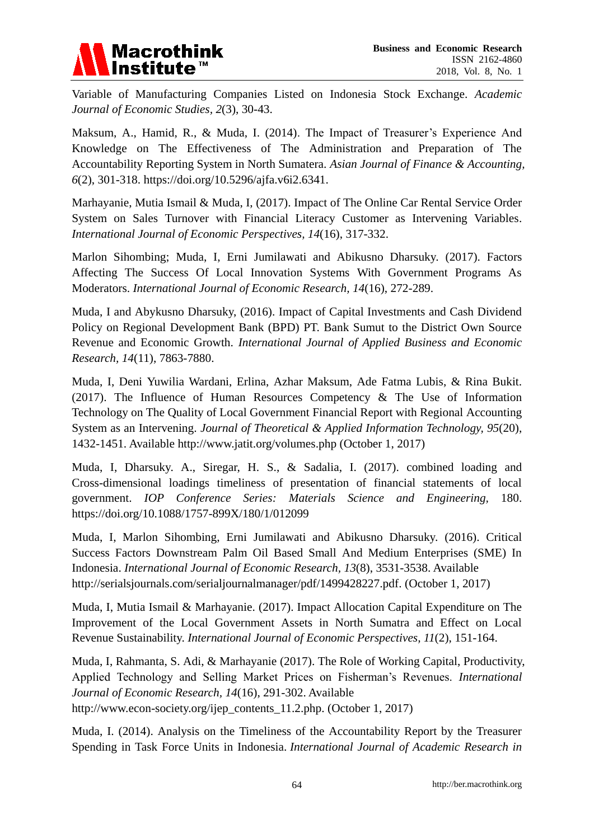# **Macrothink** Institute<sup>™</sup>

Variable of Manufacturing Companies Listed on Indonesia Stock Exchange. *Academic Journal of Economic Studies, 2*(3), 30-43.

Maksum, A., Hamid, R., & Muda, I. (2014). The Impact of Treasurer's Experience And Knowledge on The Effectiveness of The Administration and Preparation of The Accountability Reporting System in North Sumatera. *Asian Journal of Finance & Accounting, 6*(2), 301-318. https://doi.org/10.5296/ajfa.v6i2.6341.

Marhayanie, Mutia Ismail & Muda, I, (2017). Impact of The Online Car Rental Service Order System on Sales Turnover with Financial Literacy Customer as Intervening Variables. *International Journal of Economic Perspectives, 14*(16), 317-332.

Marlon Sihombing; Muda, I, Erni Jumilawati and Abikusno Dharsuky. (2017). Factors Affecting The Success Of Local Innovation Systems With Government Programs As Moderators. *International Journal of Economic Research, 14*(16), 272-289.

Muda, I and Abykusno Dharsuky, (2016). Impact of Capital Investments and Cash Dividend Policy on Regional Development Bank (BPD) PT. Bank Sumut to the District Own Source Revenue and Economic Growth. *International Journal of Applied Business and Economic Research, 14*(11), 7863-7880.

Muda, I, Deni Yuwilia Wardani, Erlina, Azhar Maksum, Ade Fatma Lubis, & Rina Bukit. (2017). The Influence of Human Resources Competency & The Use of Information Technology on The Quality of Local Government Financial Report with Regional Accounting System as an Intervening. *Journal of Theoretical & Applied Information Technology, 95*(20), 1432-1451. Available http://www.jatit.org/volumes.php (October 1, 2017)

Muda, I, Dharsuky. A., Siregar, H. S., & Sadalia, I. (2017). combined loading and Cross-dimensional loadings timeliness of presentation of financial statements of local government. *IOP Conference Series: Materials Science and Engineering,* 180. https://doi.org/10.1088/1757-899X/180/1/012099

Muda, I, Marlon Sihombing, Erni Jumilawati and Abikusno Dharsuky. (2016). Critical Success Factors Downstream Palm Oil Based Small And Medium Enterprises (SME) In Indonesia. *International Journal of Economic Research, 13*(8), 3531-3538. Available http://serialsjournals.com/serialjournalmanager/pdf/1499428227.pdf. (October 1, 2017)

Muda, I, Mutia Ismail & Marhayanie. (2017). Impact Allocation Capital Expenditure on The Improvement of the Local Government Assets in North Sumatra and Effect on Local Revenue Sustainability. *International Journal of Economic Perspectives, 11*(2), 151-164.

Muda, I, Rahmanta, S. Adi, & Marhayanie (2017). The Role of Working Capital, Productivity, Applied Technology and Selling Market Prices on Fisherman's Revenues. *International Journal of Economic Research, 14*(16), 291-302. Available http://www.econ-society.org/ijep\_contents\_11.2.php. (October 1, 2017)

Muda, I. (2014). Analysis on the Timeliness of the Accountability Report by the Treasurer Spending in Task Force Units in Indonesia. *International Journal of Academic Research in*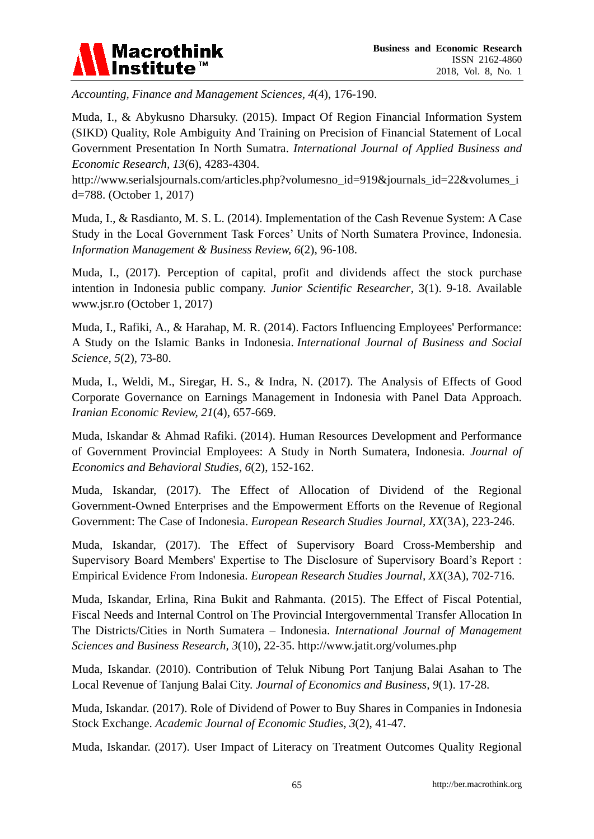

*Accounting, Finance and Management Sciences, 4*(4), 176-190.

Muda, I., & Abykusno Dharsuky. (2015). Impact Of Region Financial Information System (SIKD) Quality, Role Ambiguity And Training on Precision of Financial Statement of Local Government Presentation In North Sumatra. *International Journal of Applied Business and Economic Research, 13*(6), 4283-4304.

http://www.serialsjournals.com/articles.php?volumesno\_id=919&journals\_id=22&volumes\_i d=788. (October 1, 2017)

Muda, I., & Rasdianto, M. S. L. (2014). Implementation of the Cash Revenue System: A Case Study in the Local Government Task Forces' Units of North Sumatera Province, Indonesia. *Information Management & Business Review, 6*(2), 96-108.

Muda, I., (2017). Perception of capital, profit and dividends affect the stock purchase intention in Indonesia public company. *Junior Scientific Researcher*, 3(1). 9-18. Available www.jsr.ro (October 1, 2017)

Muda, I., Rafiki, A., & Harahap, M. R. (2014). Factors Influencing Employees' Performance: A Study on the Islamic Banks in Indonesia. *International Journal of Business and Social Science, 5*(2), 73-80.

Muda, I., Weldi, M., Siregar, H. S., & Indra, N. (2017). The Analysis of Effects of Good Corporate Governance on Earnings Management in Indonesia with Panel Data Approach. *Iranian Economic Review, 21*(4), 657-669.

Muda, Iskandar & Ahmad Rafiki. (2014). Human Resources Development and Performance of Government Provincial Employees: A Study in North Sumatera, Indonesia. *Journal of Economics and Behavioral Studies, 6*(2), 152-162.

Muda, Iskandar, (2017). The Effect of Allocation of Dividend of the Regional Government-Owned Enterprises and the Empowerment Efforts on the Revenue of Regional Government: The Case of Indonesia. *European Research Studies Journal, XX*(3A), 223-246.

Muda, Iskandar, (2017). The Effect of Supervisory Board Cross-Membership and Supervisory Board Members' Expertise to The Disclosure of Supervisory Board's Report : Empirical Evidence From Indonesia. *European Research Studies Journal, XX*(3A), 702-716.

Muda, Iskandar, Erlina, Rina Bukit and Rahmanta. (2015). The Effect of Fiscal Potential, Fiscal Needs and Internal Control on The Provincial Intergovernmental Transfer Allocation In The Districts/Cities in North Sumatera – Indonesia. *International Journal of Management Sciences and Business Research, 3*(10), 22-35. http://www.jatit.org/volumes.php

Muda, Iskandar. (2010). Contribution of Teluk Nibung Port Tanjung Balai Asahan to The Local Revenue of Tanjung Balai City. *Journal of Economics and Business, 9*(1). 17-28.

Muda, Iskandar. (2017). Role of Dividend of Power to Buy Shares in Companies in Indonesia Stock Exchange. *Academic Journal of Economic Studies, 3*(2), 41-47.

Muda, Iskandar. (2017). User Impact of Literacy on Treatment Outcomes Quality Regional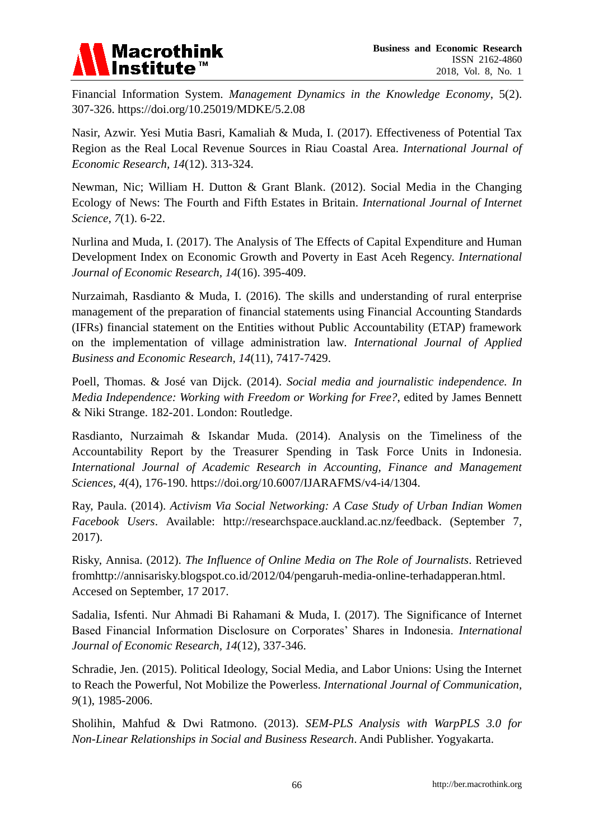

Financial Information System. *Management Dynamics in the Knowledge Economy*, 5(2). 307-326. https://doi.org/10.25019/MDKE/5.2.08

Nasir, Azwir. Yesi Mutia Basri, Kamaliah & Muda, I. (2017). Effectiveness of Potential Tax Region as the Real Local Revenue Sources in Riau Coastal Area. *International Journal of Economic Research, 14*(12). 313-324.

Newman, Nic; William H. Dutton & Grant Blank. (2012). Social Media in the Changing Ecology of News: The Fourth and Fifth Estates in Britain. *International Journal of Internet Science, 7*(1). 6-22.

Nurlina and Muda, I. (2017). The Analysis of The Effects of Capital Expenditure and Human Development Index on Economic Growth and Poverty in East Aceh Regency. *International Journal of Economic Research, 14*(16). 395-409.

Nurzaimah, Rasdianto & Muda, I. (2016). The skills and understanding of rural enterprise management of the preparation of financial statements using Financial Accounting Standards (IFRs) financial statement on the Entities without Public Accountability (ETAP) framework on the implementation of village administration law*. International Journal of Applied Business and Economic Research, 14*(11), 7417-7429.

Poell, Thomas. & José van Dijck. (2014). *Social media and journalistic independence. In Media Independence: Working with Freedom or Working for Free?*, edited by James Bennett & Niki Strange. 182-201. London: Routledge.

Rasdianto, Nurzaimah & Iskandar Muda. (2014). Analysis on the Timeliness of the Accountability Report by the Treasurer Spending in Task Force Units in Indonesia. *International Journal of Academic Research in Accounting, Finance and Management Sciences, 4*(4), 176-190. https://doi.org/10.6007/IJARAFMS/v4-i4/1304.

Ray, Paula. (2014). *Activism Via Social Networking: A Case Study of Urban Indian Women Facebook Users*. Available: http://researchspace.auckland.ac.nz/feedback. (September 7, 2017).

Risky, Annisa. (2012). *The Influence of Online Media on The Role of Journalists*. Retrieved fromhttp://annisarisky.blogspot.co.id/2012/04/pengaruh-media-online-terhadapperan.html. Accesed on September, 17 2017.

Sadalia, Isfenti. Nur Ahmadi Bi Rahamani & Muda, I. (2017). The Significance of Internet Based Financial Information Disclosure on Corporates' Shares in Indonesia. *International Journal of Economic Research, 14*(12), 337-346.

Schradie, Jen. (2015). Political Ideology, Social Media, and Labor Unions: Using the Internet to Reach the Powerful, Not Mobilize the Powerless. *International Journal of Communication, 9*(1), 1985-2006.

Sholihin, Mahfud & Dwi Ratmono. (2013). *SEM-PLS Analysis with WarpPLS 3.0 for Non-Linear Relationships in Social and Business Research*. Andi Publisher. Yogyakarta.